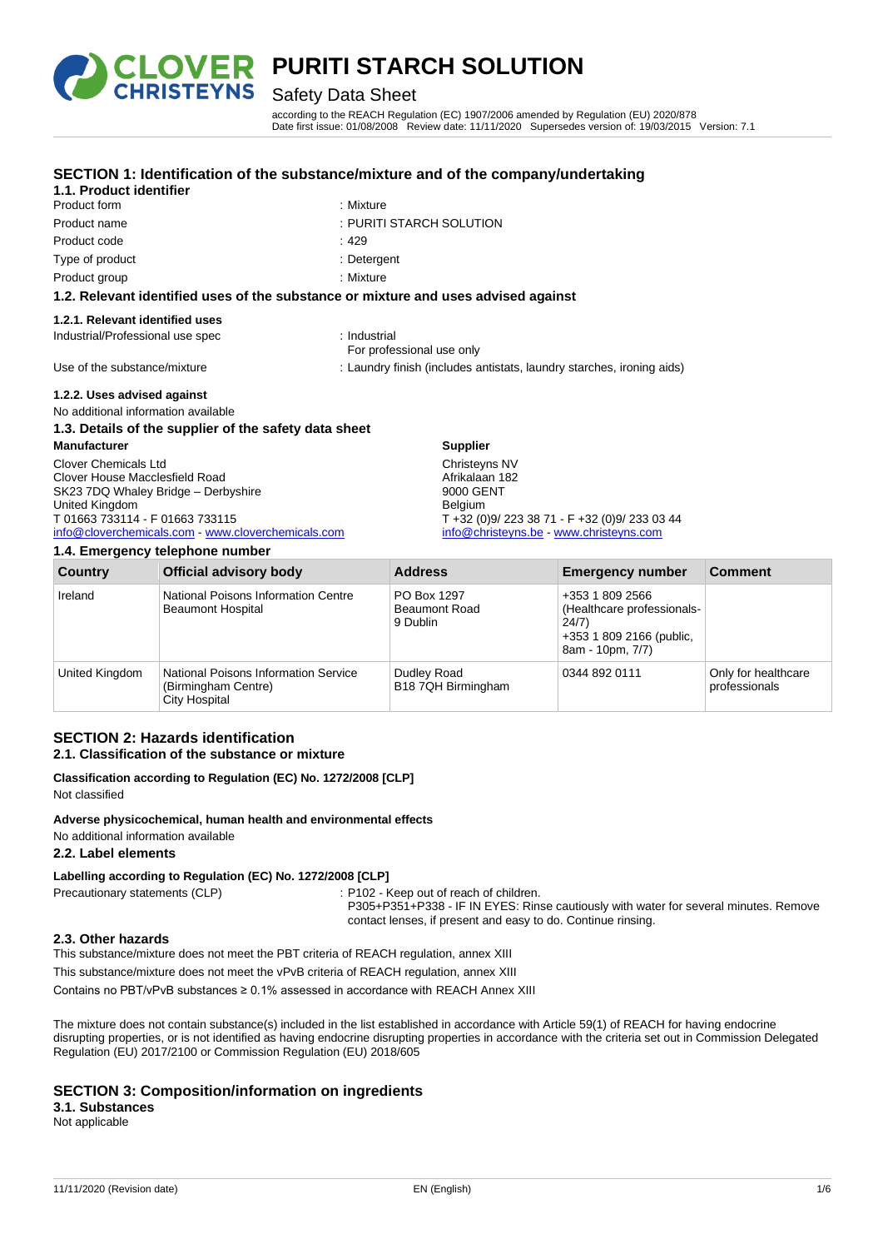

# **OVER PURITI STARCH SOLUTION**<br>RISTEYNS Safety Data Sheet

### Safety Data Sheet

**SECTION 1: Identification of the substance/mixture and of the company/undertaking**

according to the REACH Regulation (EC) 1907/2006 amended by Regulation (EU) 2020/878 Date first issue: 01/08/2008 Review date: 11/11/2020 Supersedes version of: 19/03/2015 Version: 7.1

| 1.1. Product identifier                                                            |                                                                       |  |
|------------------------------------------------------------------------------------|-----------------------------------------------------------------------|--|
| Product form                                                                       | : Mixture                                                             |  |
| Product name                                                                       | : PURITI STARCH SOLUTION                                              |  |
| Product code                                                                       | :429                                                                  |  |
| Type of product                                                                    | : Detergent                                                           |  |
| Product group                                                                      | : Mixture                                                             |  |
| 1.2. Relevant identified uses of the substance or mixture and uses advised against |                                                                       |  |
| 1.2.1. Relevant identified uses                                                    |                                                                       |  |
| Industrial/Professional use spec                                                   | : Industrial<br>For professional use only                             |  |
| Use of the substance/mixture                                                       | : Laundry finish (includes antistats, laundry starches, ironing aids) |  |
| 1.2.2. Uses advised against                                                        |                                                                       |  |
| No additional information available                                                |                                                                       |  |
| 1.3. Details of the supplier of the safety data sheet                              |                                                                       |  |
| <b>Manufacturer</b>                                                                | <b>Supplier</b>                                                       |  |
| Clover Chemicals Ltd                                                               | Christeyns NV                                                         |  |
| Clover House Macclesfield Road                                                     | Afrikalaan 182                                                        |  |
| SK23 7DQ Whaley Bridge - Derbyshire                                                | 9000 GENT                                                             |  |
| United Kingdom                                                                     | Belgium                                                               |  |
| T 01663 733114 - F 01663 733115                                                    | $T + 32 (0)9/2233871 - F + 32 (0)9/2330344$                           |  |
| info@cloverchemicals.com - www.cloverchemicals.com                                 | info@christeyns.be - www.christeyns.com                               |  |

#### **1.4. Emergency telephone number**

| Country        | <b>Official advisory body</b>                                                       | <b>Address</b>                                  | <b>Emergency number</b>                                                                                | <b>Comment</b>                       |
|----------------|-------------------------------------------------------------------------------------|-------------------------------------------------|--------------------------------------------------------------------------------------------------------|--------------------------------------|
| Ireland        | National Poisons Information Centre<br><b>Beaumont Hospital</b>                     | PO Box 1297<br><b>Beaumont Road</b><br>9 Dublin | +353 1 809 2566<br>(Healthcare professionals-<br>24/7)<br>+353 1 809 2166 (public,<br>8am - 10pm, 7/7) |                                      |
| United Kingdom | National Poisons Information Service<br>(Birmingham Centre)<br><b>City Hospital</b> | Dudley Road<br>B18 7QH Birmingham               | 0344 892 0111                                                                                          | Only for healthcare<br>professionals |

#### **SECTION 2: Hazards identification 2.1. Classification of the substance or mixture**

#### **Classification according to Regulation (EC) No. 1272/2008 [CLP]** Not classified

**Adverse physicochemical, human health and environmental effects** No additional information available

#### **2.2. Label elements**

#### **Labelling according to Regulation (EC) No. 1272/2008 [CLP]**

Precautionary statements (CLP) : P102 - Keep out of reach of children.

P305+P351+P338 - IF IN EYES: Rinse cautiously with water for several minutes. Remove contact lenses, if present and easy to do. Continue rinsing.

#### **2.3. Other hazards**

This substance/mixture does not meet the PBT criteria of REACH regulation, annex XIII

This substance/mixture does not meet the vPvB criteria of REACH regulation, annex XIII

Contains no PBT/vPvB substances ≥ 0.1% assessed in accordance with REACH Annex XIII

The mixture does not contain substance(s) included in the list established in accordance with Article 59(1) of REACH for having endocrine disrupting properties, or is not identified as having endocrine disrupting properties in accordance with the criteria set out in Commission Delegated Regulation (EU) 2017/2100 or Commission Regulation (EU) 2018/605

#### **SECTION 3: Composition/information on ingredients**

#### **3.1. Substances**

Not applicable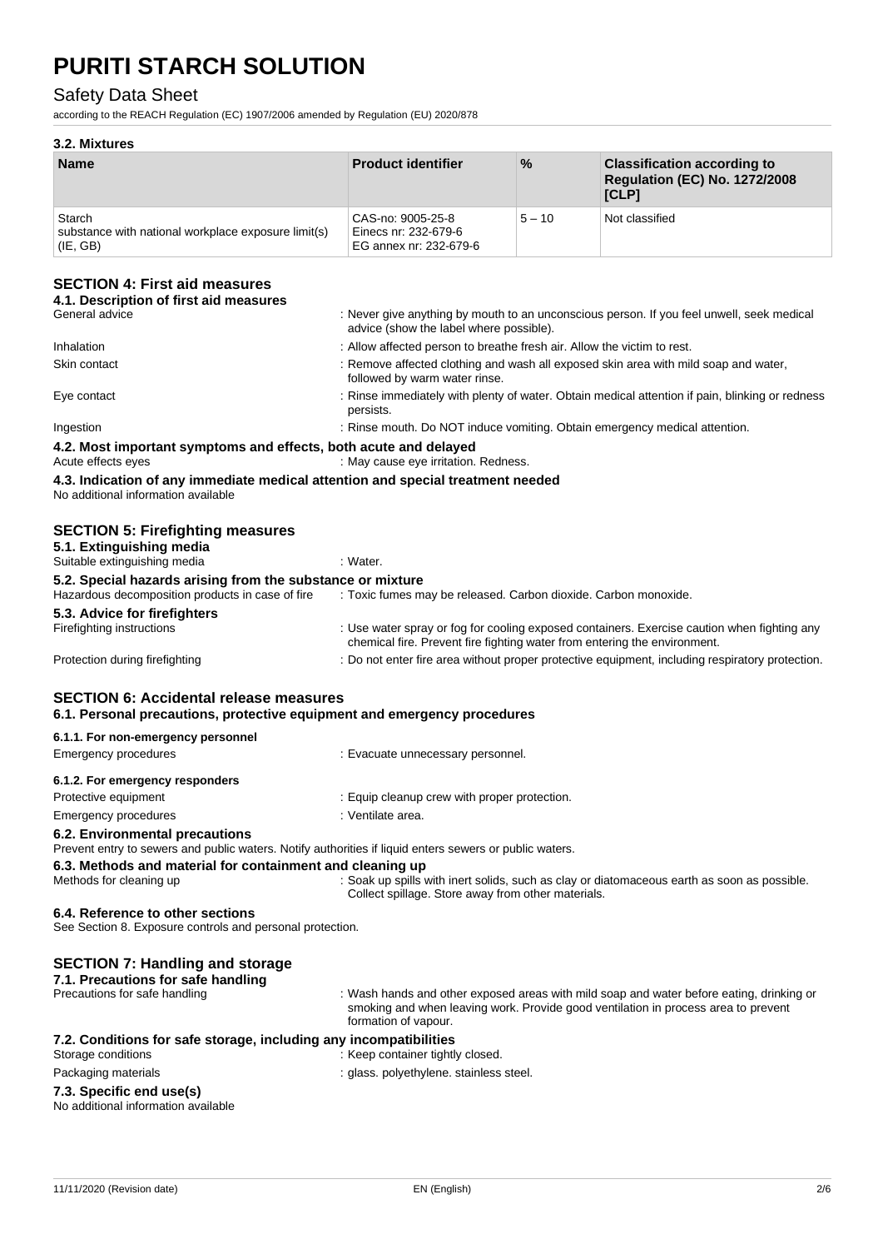#### Safety Data Sheet

according to the REACH Regulation (EC) 1907/2006 amended by Regulation (EU) 2020/878

#### **3.2. Mixtures**

| <b>Name</b>                                                               | <b>Product identifier</b>                                           | $\frac{9}{6}$ | <b>Classification according to</b><br><b>Regulation (EC) No. 1272/2008</b><br>[CLP] |
|---------------------------------------------------------------------------|---------------------------------------------------------------------|---------------|-------------------------------------------------------------------------------------|
| Starch<br>substance with national workplace exposure limit(s)<br>(IE, GB) | CAS-no: 9005-25-8<br>Einecs nr: 232-679-6<br>EG annex nr: 232-679-6 | $5 - 10$      | Not classified                                                                      |

#### **SECTION 4: First aid measures**

| OLUTIUN 4. TIISLAIU III <del>c</del> asules<br>4.1. Description of first aid measures                                     |                                                                                                                                                                          |
|---------------------------------------------------------------------------------------------------------------------------|--------------------------------------------------------------------------------------------------------------------------------------------------------------------------|
| General advice                                                                                                            | : Never give anything by mouth to an unconscious person. If you feel unwell, seek medical<br>advice (show the label where possible).                                     |
| Inhalation                                                                                                                | : Allow affected person to breathe fresh air. Allow the victim to rest.                                                                                                  |
| Skin contact                                                                                                              | : Remove affected clothing and wash all exposed skin area with mild soap and water,<br>followed by warm water rinse.                                                     |
| Eye contact                                                                                                               | : Rinse immediately with plenty of water. Obtain medical attention if pain, blinking or redness<br>persists.                                                             |
| Ingestion                                                                                                                 | : Rinse mouth. Do NOT induce vomiting. Obtain emergency medical attention.                                                                                               |
| 4.2. Most important symptoms and effects, both acute and delayed<br>Acute effects eyes                                    | : May cause eye irritation. Redness.                                                                                                                                     |
| 4.3. Indication of any immediate medical attention and special treatment needed<br>No additional information available    |                                                                                                                                                                          |
| <b>SECTION 5: Firefighting measures</b><br>5.1. Extinguishing media<br>Suitable extinguishing media                       | : Water.                                                                                                                                                                 |
| 5.2. Special hazards arising from the substance or mixture                                                                |                                                                                                                                                                          |
| Hazardous decomposition products in case of fire                                                                          | : Toxic fumes may be released. Carbon dioxide. Carbon monoxide.                                                                                                          |
| 5.3. Advice for firefighters<br>Firefighting instructions                                                                 | : Use water spray or fog for cooling exposed containers. Exercise caution when fighting any<br>chemical fire. Prevent fire fighting water from entering the environment. |
| Protection during firefighting                                                                                            | : Do not enter fire area without proper protective equipment, including respiratory protection.                                                                          |
| <b>SECTION 6: Accidental release measures</b><br>6.1. Personal precautions, protective equipment and emergency procedures |                                                                                                                                                                          |

| 6.1.1. For non-emergency personnel                                                                      |                                              |  |
|---------------------------------------------------------------------------------------------------------|----------------------------------------------|--|
| Emergency procedures                                                                                    | : Evacuate unnecessary personnel.            |  |
| 6.1.2. For emergency responders                                                                         |                                              |  |
| Protective equipment                                                                                    | : Equip cleanup crew with proper protection. |  |
| Emergency procedures                                                                                    | : Ventilate area.                            |  |
| 6.2. Environmental precautions                                                                          |                                              |  |
| Prevent entry to sewers and public waters. Notify authorities if liquid enters sewers or public waters. |                                              |  |
| 6.3. Methods and material for containment and cleaning up                                               |                                              |  |
|                                                                                                         |                                              |  |

Methods for cleaning up : Soak up spills with inert solids, such as clay or diatomaceous earth as soon as possible. Collect spillage. Store away from other materials.

#### **6.4. Reference to other sections**

See Section 8. Exposure controls and personal protection.

#### **SECTION 7: Handling and storage**

|  | 7.1. Precautions for safe handling |  |  |  |  |
|--|------------------------------------|--|--|--|--|
|--|------------------------------------|--|--|--|--|

| Precautions for safe handling | . . |  |
|-------------------------------|-----|--|
|                               |     |  |
|                               |     |  |
|                               |     |  |

Wash hands and other exposed areas with mild soap and water before eating, drinking or smoking and when leaving work. Provide good ventilation in process area to prevent formation of vapour.

### **7.2. Conditions for safe storage, including any incompatibilities**

| Storage conditions  |
|---------------------|
| Packaging materials |

- : Keep container tightly closed.
- aging materials **interpretent in the case of the case of the case of the case of the case of the case of the c**<br>case of the case of the case of the case of the case of the case of the case of the case of the case of the ca

#### **7.3. Specific end use(s)**

| No additional information available |  |
|-------------------------------------|--|
|                                     |  |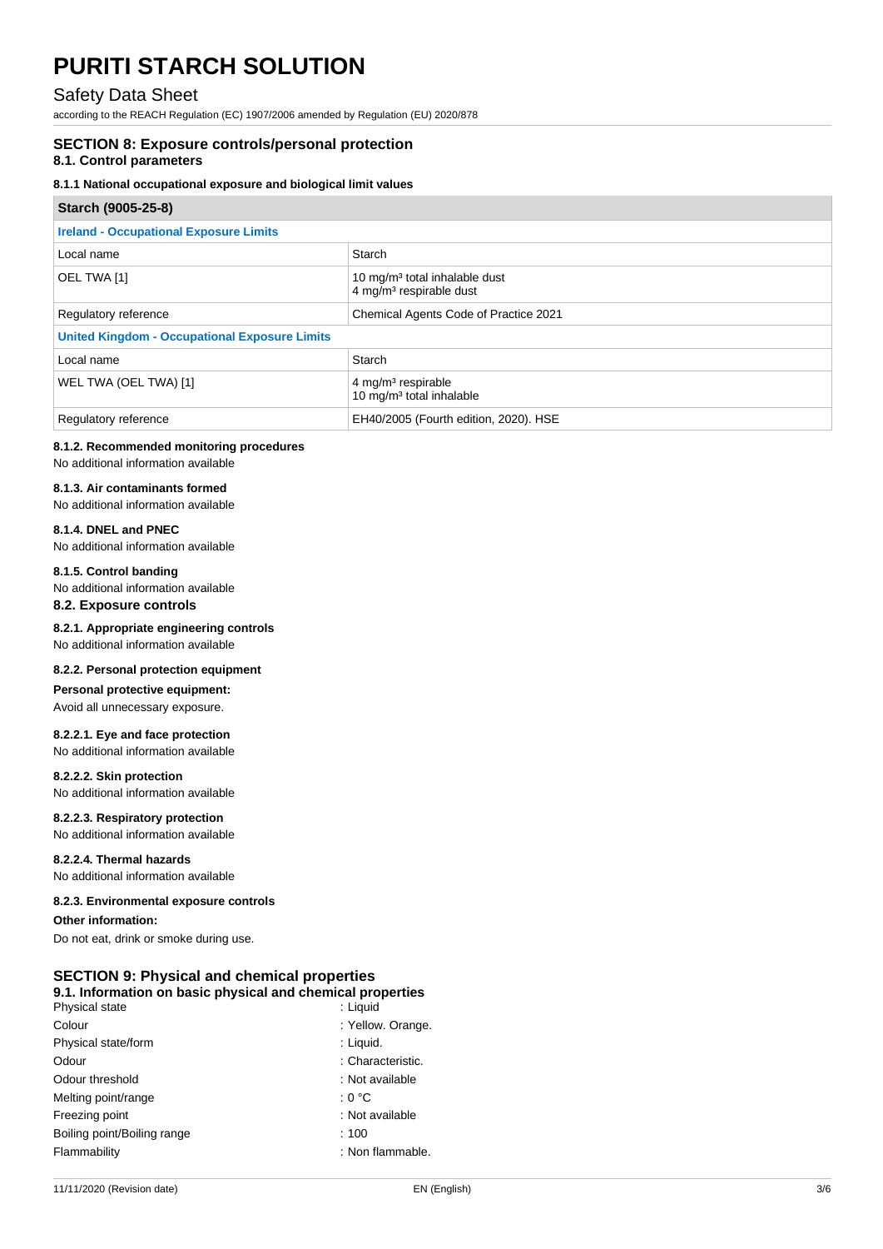#### Safety Data Sheet

according to the REACH Regulation (EC) 1907/2006 amended by Regulation (EU) 2020/878

#### **SECTION 8: Exposure controls/personal protection**

#### **8.1. Control parameters**

#### **8.1.1 National occupational exposure and biological limit values**

| Starch (9005-25-8)                                   |                                                                                  |
|------------------------------------------------------|----------------------------------------------------------------------------------|
| <b>Ireland - Occupational Exposure Limits</b>        |                                                                                  |
| Local name                                           | Starch                                                                           |
| OEL TWA [1]                                          | 10 mg/m <sup>3</sup> total inhalable dust<br>4 mg/m <sup>3</sup> respirable dust |
| Regulatory reference                                 | Chemical Agents Code of Practice 2021                                            |
| <b>United Kingdom - Occupational Exposure Limits</b> |                                                                                  |
| Local name                                           | Starch                                                                           |
| WEL TWA (OEL TWA) [1]                                | $4$ mg/m <sup>3</sup> respirable<br>10 mg/m <sup>3</sup> total inhalable         |
| Regulatory reference                                 | EH40/2005 (Fourth edition, 2020). HSE                                            |

#### **8.1.2. Recommended monitoring procedures**

No additional information available

#### **8.1.3. Air contaminants formed**

No additional information available

#### **8.1.4. DNEL and PNEC**

No additional information available

#### **8.1.5. Control banding**

No additional information available **8.2. Exposure controls**

**8.2.1. Appropriate engineering controls** No additional information available

### **8.2.2. Personal protection equipment**

**Personal protective equipment:** Avoid all unnecessary exposure.

#### **8.2.2.1. Eye and face protection**

No additional information available

#### **8.2.2.2. Skin protection**

No additional information available

#### **8.2.2.3. Respiratory protection**

No additional information available

#### **8.2.2.4. Thermal hazards**

No additional information available

#### **8.2.3. Environmental exposure controls**

**Other information:**

Do not eat, drink or smoke during use.

#### **SECTION 9: Physical and chemical properties 9.1. Information on basic physical and chemical properties**

| Physical state              | : Liquid          |
|-----------------------------|-------------------|
| Colour                      | : Yellow. Orange. |
| Physical state/form         | : Liquid.         |
| Odour                       | : Characteristic. |
| Odour threshold             | : Not available   |
| Melting point/range         | : 0 °C            |
| Freezing point              | : Not available   |
| Boiling point/Boiling range | :100              |
| Flammability                | : Non flammable.  |
|                             |                   |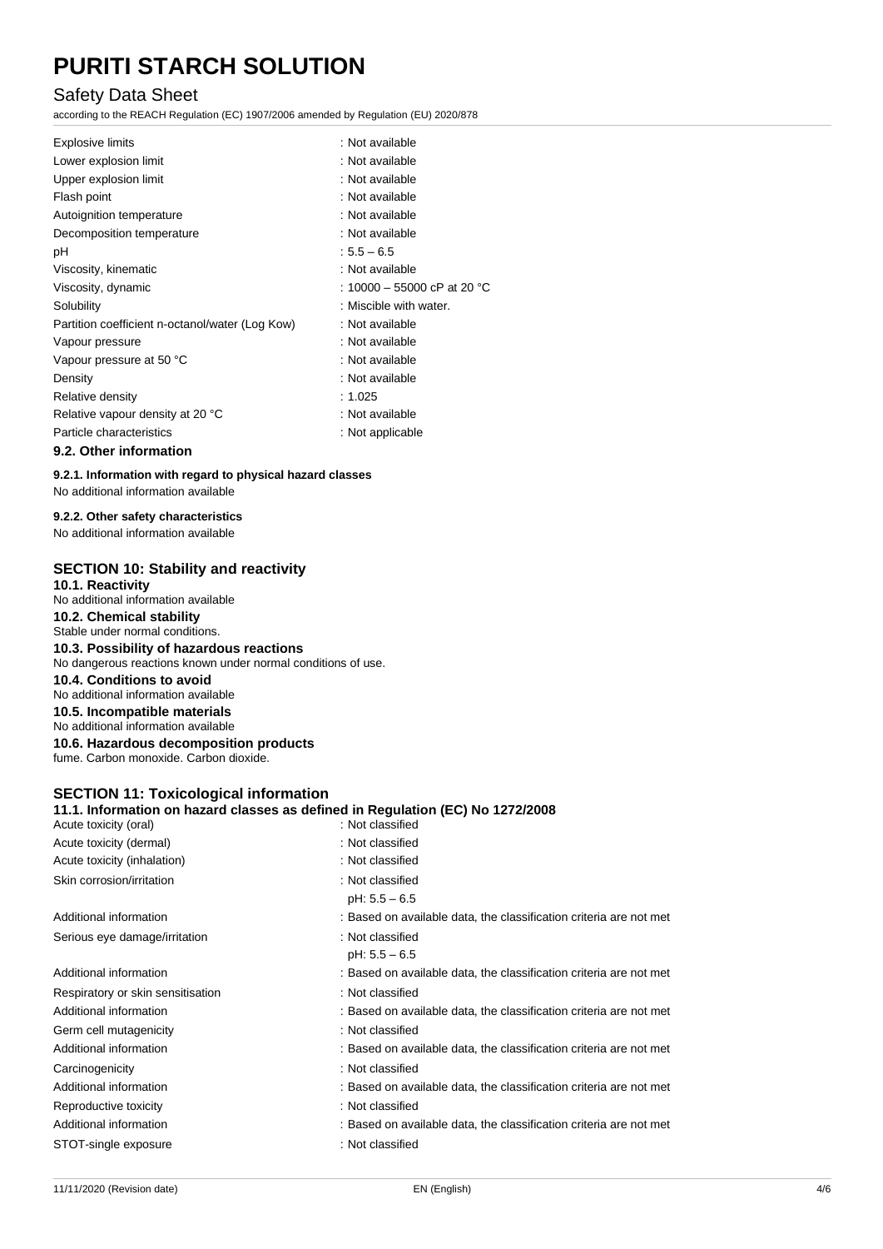#### Safety Data Sheet

according to the REACH Regulation (EC) 1907/2006 amended by Regulation (EU) 2020/878

| <b>Explosive limits</b>                         | : Not available             |
|-------------------------------------------------|-----------------------------|
| Lower explosion limit                           | : Not available             |
| Upper explosion limit                           | : Not available             |
| Flash point                                     | : Not available             |
| Autoignition temperature                        | : Not available             |
| Decomposition temperature                       | : Not available             |
| рH                                              | $:5.5 - 6.5$                |
| Viscosity, kinematic                            | : Not available             |
| Viscosity, dynamic                              | : 10000 - 55000 cP at 20 °C |
| Solubility                                      | : Miscible with water.      |
| Partition coefficient n-octanol/water (Log Kow) | : Not available             |
| Vapour pressure                                 | : Not available             |
| Vapour pressure at 50 °C                        | : Not available             |
| Density                                         | : Not available             |
| Relative density                                | :1.025                      |
| Relative vapour density at 20 °C                | : Not available             |
| Particle characteristics                        | : Not applicable            |
|                                                 |                             |

#### **9.2. Other information**

**9.2.1. Information with regard to physical hazard classes** No additional information available

#### **9.2.2. Other safety characteristics**

No additional information available

#### **SECTION 10: Stability and reactivity**

**10.1. Reactivity** No additional information available **10.2. Chemical stability** Stable under normal conditions.

#### **10.3. Possibility of hazardous reactions**

No dangerous reactions known under normal conditions of use.

#### **10.4. Conditions to avoid**

No additional information available

**10.5. Incompatible materials**

No additional information available

**10.6. Hazardous decomposition products** fume. Carbon monoxide. Carbon dioxide.

#### **SECTION 11: Toxicological information**

|                       | 11.1. Information on hazard classes as defined in Regulation (EC) No 1272/2008 |
|-----------------------|--------------------------------------------------------------------------------|
| Acute toxicity (oral) | : Not classified                                                               |

| Acute toxicity (dermal)           | : Not classified                                                   |  |
|-----------------------------------|--------------------------------------------------------------------|--|
| Acute toxicity (inhalation)       | : Not classified                                                   |  |
| Skin corrosion/irritation         | : Not classified                                                   |  |
|                                   | $pH: 5.5 - 6.5$                                                    |  |
| Additional information            | : Based on available data, the classification criteria are not met |  |
| Serious eye damage/irritation     | : Not classified                                                   |  |
|                                   | $pH: 5.5 - 6.5$                                                    |  |
| Additional information            | : Based on available data, the classification criteria are not met |  |
| Respiratory or skin sensitisation | : Not classified                                                   |  |
| Additional information            | : Based on available data, the classification criteria are not met |  |
| Germ cell mutagenicity            | : Not classified                                                   |  |
| Additional information            | : Based on available data, the classification criteria are not met |  |
| Carcinogenicity                   | : Not classified                                                   |  |
| Additional information            | : Based on available data, the classification criteria are not met |  |
| Reproductive toxicity             | : Not classified                                                   |  |
| Additional information            | : Based on available data, the classification criteria are not met |  |
| STOT-single exposure              | : Not classified                                                   |  |
|                                   |                                                                    |  |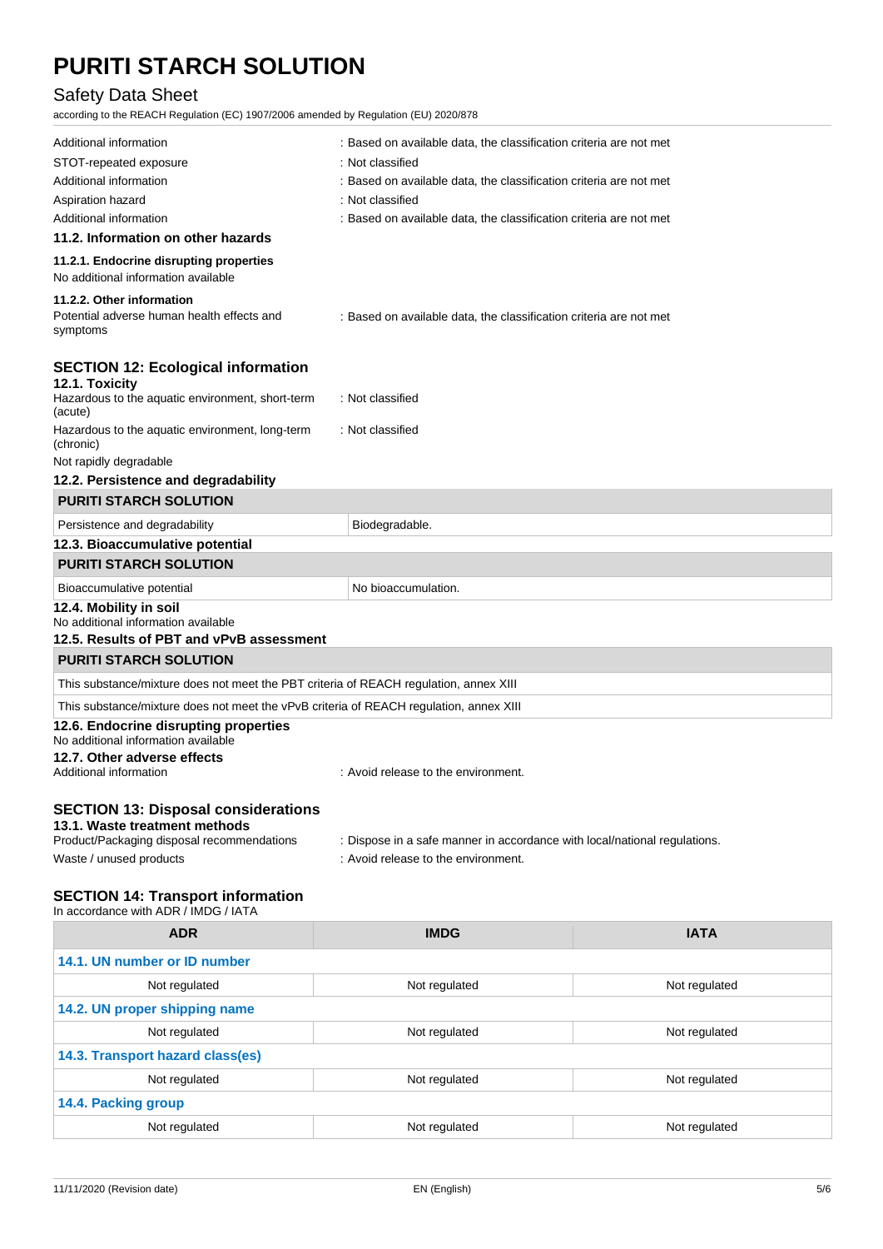### Safety Data Sheet

according to the REACH Regulation (EC) 1907/2006 amended by Regulation (EU) 2020/878

| Additional information                                                                                                    | : Based on available data, the classification criteria are not met        |  |  |
|---------------------------------------------------------------------------------------------------------------------------|---------------------------------------------------------------------------|--|--|
| STOT-repeated exposure                                                                                                    | : Not classified                                                          |  |  |
| Additional information                                                                                                    | : Based on available data, the classification criteria are not met        |  |  |
| Aspiration hazard                                                                                                         | : Not classified                                                          |  |  |
| Additional information                                                                                                    | : Based on available data, the classification criteria are not met        |  |  |
| 11.2. Information on other hazards                                                                                        |                                                                           |  |  |
| 11.2.1. Endocrine disrupting properties<br>No additional information available                                            |                                                                           |  |  |
| 11.2.2. Other information                                                                                                 |                                                                           |  |  |
| Potential adverse human health effects and<br>symptoms                                                                    | : Based on available data, the classification criteria are not met        |  |  |
| <b>SECTION 12: Ecological information</b>                                                                                 |                                                                           |  |  |
| 12.1. Toxicity<br>Hazardous to the aquatic environment, short-term<br>(acute)                                             | : Not classified                                                          |  |  |
| Hazardous to the aquatic environment, long-term<br>(chronic)                                                              | : Not classified                                                          |  |  |
| Not rapidly degradable                                                                                                    |                                                                           |  |  |
| 12.2. Persistence and degradability                                                                                       |                                                                           |  |  |
| <b>PURITI STARCH SOLUTION</b>                                                                                             |                                                                           |  |  |
| Persistence and degradability                                                                                             | Biodegradable.                                                            |  |  |
| 12.3. Bioaccumulative potential                                                                                           |                                                                           |  |  |
| <b>PURITI STARCH SOLUTION</b>                                                                                             |                                                                           |  |  |
| Bioaccumulative potential                                                                                                 | No bioaccumulation.                                                       |  |  |
| 12.4. Mobility in soil<br>No additional information available<br>12.5. Results of PBT and vPvB assessment                 |                                                                           |  |  |
| <b>PURITI STARCH SOLUTION</b>                                                                                             |                                                                           |  |  |
| This substance/mixture does not meet the PBT criteria of REACH regulation, annex XIII                                     |                                                                           |  |  |
| This substance/mixture does not meet the vPvB criteria of REACH regulation, annex XIII                                    |                                                                           |  |  |
| 12.6. Endocrine disrupting properties<br>No additional information available                                              |                                                                           |  |  |
| 12.7. Other adverse effects<br>Additional information                                                                     | : Avoid release to the environment.                                       |  |  |
| <b>SECTION 13: Disposal considerations</b><br>13.1. Waste treatment methods<br>Product/Packaging disposal recommendations | : Dispose in a safe manner in accordance with local/national regulations. |  |  |
| Waste / unused products                                                                                                   | : Avoid release to the environment.                                       |  |  |
| \ <b>patiali</b> ssar                                                                                                     |                                                                           |  |  |

#### **SECTION 14: Transport information**

In accordance with ADR / IMDG / IATA

| <b>ADR</b>                       | <b>IMDG</b>   | <b>IATA</b>   |  |  |
|----------------------------------|---------------|---------------|--|--|
| 14.1. UN number or ID number     |               |               |  |  |
| Not regulated                    | Not regulated | Not regulated |  |  |
| 14.2. UN proper shipping name    |               |               |  |  |
| Not regulated                    | Not regulated | Not regulated |  |  |
| 14.3. Transport hazard class(es) |               |               |  |  |
| Not regulated                    | Not regulated | Not regulated |  |  |
| 14.4. Packing group              |               |               |  |  |
| Not regulated                    | Not regulated | Not regulated |  |  |